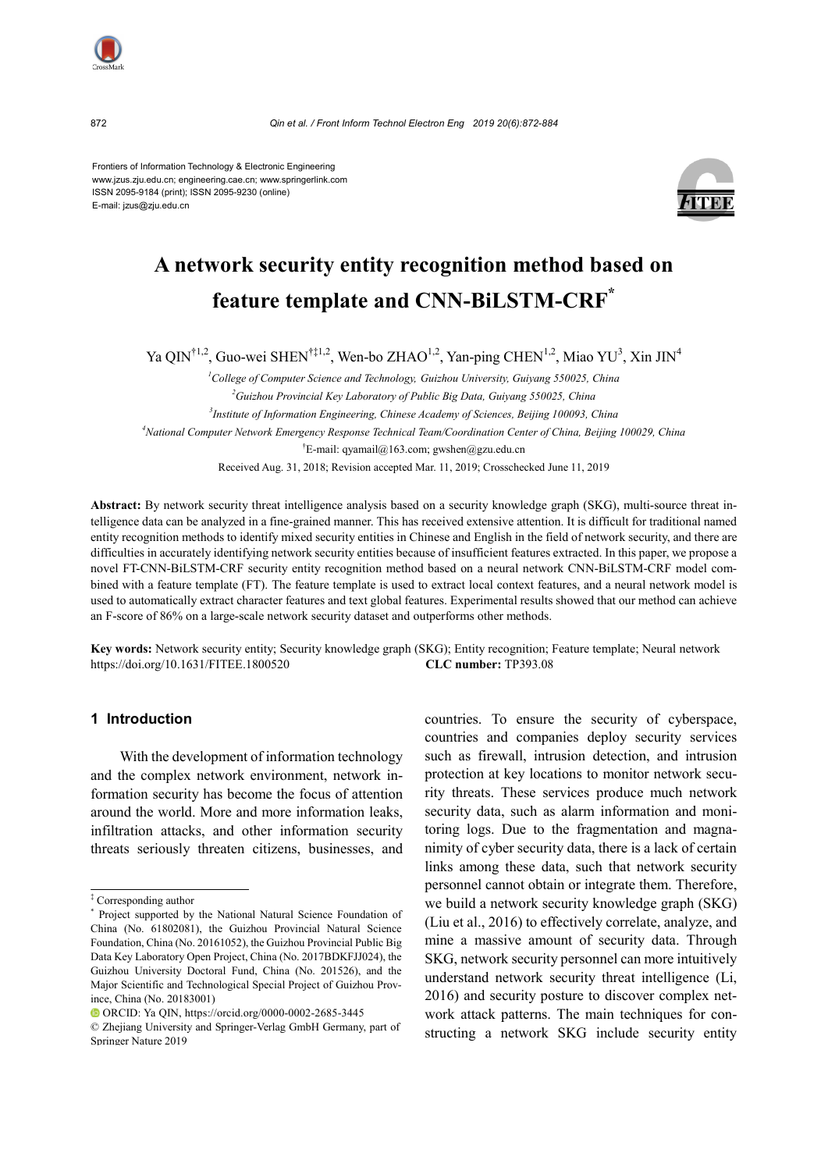872 *Qin et al. / Front Inform Technol Electron Eng 2019 20(6):872-884*

Frontiers of Information Technology & Electronic Engineering www.jzus.zju.edu.cn; engineering.cae.cn; www.springerlink.com ISSN 2095-9184 (print); ISSN 2095-9230 (online) E-mail: jzus@zju.edu.cn



# **A network security entity recognition method based on feature template and CNN-BiLSTM-CRF\***

Ya QIN<sup>†1,2</sup>, Guo-wei SHEN<sup>†‡1,2</sup>, Wen-bo ZHAO<sup>1,2</sup>, Yan-ping CHEN<sup>1,2</sup>, Miao YU<sup>3</sup>, Xin JIN<sup>4</sup>

 *College of Computer Science and Technology, Guizhou University, Guiyang 550025, China Guizhou Provincial Key Laboratory of Public Big Data, Guiyang 550025, China Institute of Information Engineering, Chinese Academy of Sciences, Beijing 100093, China National Computer Network Emergency Response Technical Team/Coordination Center of China, Beijing 100029, China* † E-mail: qyamail@163.com; gwshen@gzu.edu.cn Received Aug. 31, 2018; Revision accepted Mar. 11, 2019; Crosschecked June 11, 2019

**Abstract:** By network security threat intelligence analysis based on a security knowledge graph (SKG), multi-source threat intelligence data can be analyzed in a fine-grained manner. This has received extensive attention. It is difficult for traditional named entity recognition methods to identify mixed security entities in Chinese and English in the field of network security, and there are difficulties in accurately identifying network security entities because of insufficient features extracted. In this paper, we propose a novel FT-CNN-BiLSTM-CRF security entity recognition method based on a neural network CNN-BiLSTM-CRF model combined with a feature template (FT). The feature template is used to extract local context features, and a neural network model is used to automatically extract character features and text global features. Experimental results showed that our method can achieve an F-score of 86% on a large-scale network security dataset and outperforms other methods.

**Key words:** Network security entity; Security knowledge graph (SKG); Entity recognition; Feature template; Neural network https://doi.org/10.1631/FITEE.1800520 **CLC number:** TP393.08

# **1 Introduction**

With the development of information technology and the complex network environment, network information security has become the focus of attention around the world. More and more information leaks, infiltration attacks, and other information security threats seriously threaten citizens, businesses, and

countries. To ensure the security of cyberspace, countries and companies deploy security services such as firewall, intrusion detection, and intrusion protection at key locations to monitor network security threats. These services produce much network security data, such as alarm information and monitoring logs. Due to the fragmentation and magnanimity of cyber security data, there is a lack of certain links among these data, such that network security personnel cannot obtain or integrate them. Therefore, we build a network security knowledge graph (SKG) (Liu et al., 2016) to effectively correlate, analyze, and mine a massive amount of security data. Through SKG, network security personnel can more intuitively understand network security threat intelligence (Li, 2016) and security posture to discover complex network attack patterns. The main techniques for constructing a network SKG include security entity

<sup>‡</sup> Corresponding author

Project supported by the National Natural Science Foundation of China (No. 61802081), the Guizhou Provincial Natural Science Foundation, China (No. 20161052), the Guizhou Provincial Public Big Data Key Laboratory Open Project, China (No. 2017BDKFJJ024), the Guizhou University Doctoral Fund, China (No. 201526), and the Major Scientific and Technological Special Project of Guizhou Province, China (No. 20183001)

ORCID: Ya QIN, https://orcid.org/0000-0002-2685-3445

<sup>©</sup> Zhejiang University and Springer-Verlag GmbH Germany, part of Springer Nature 2019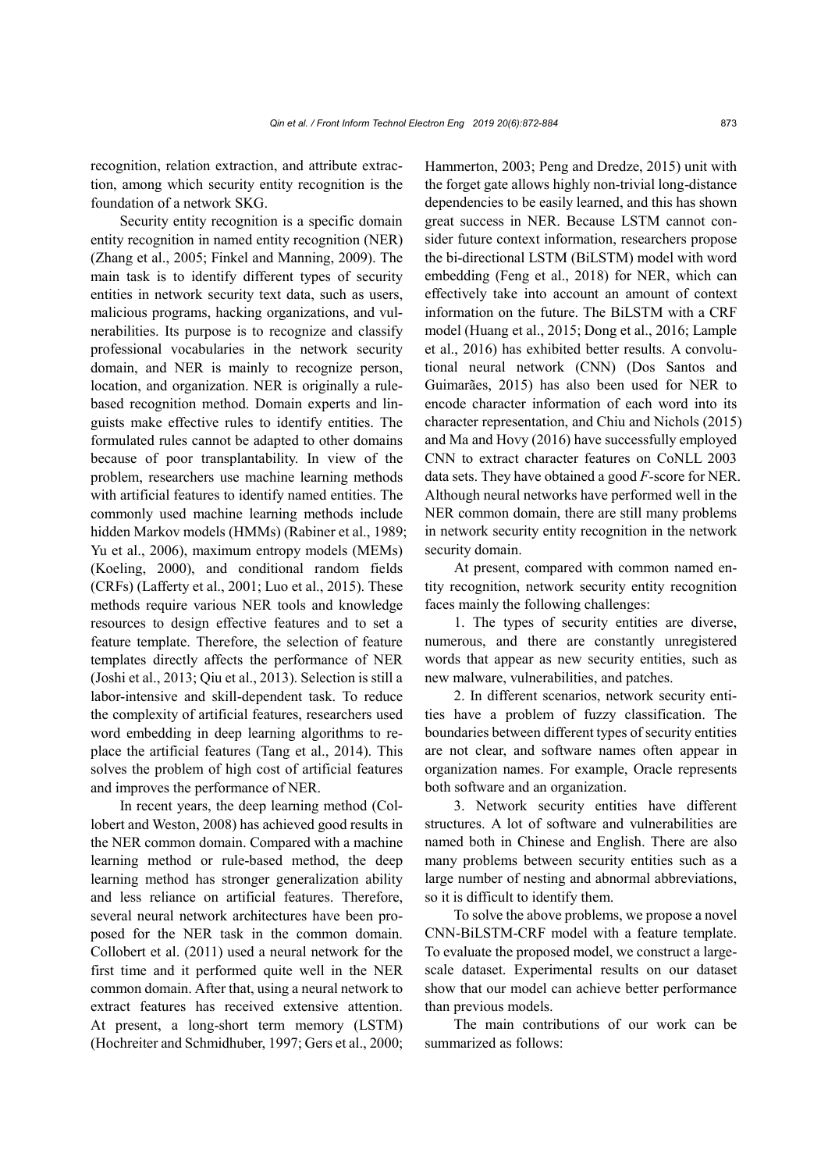recognition, relation extraction, and attribute extraction, among which security entity recognition is the foundation of a network SKG.

Security entity recognition is a specific domain entity recognition in named entity recognition (NER) (Zhang et al., 2005; Finkel and Manning, 2009). The main task is to identify different types of security entities in network security text data, such as users, malicious programs, hacking organizations, and vulnerabilities. Its purpose is to recognize and classify professional vocabularies in the network security domain, and NER is mainly to recognize person, location, and organization. NER is originally a rulebased recognition method. Domain experts and linguists make effective rules to identify entities. The formulated rules cannot be adapted to other domains because of poor transplantability. In view of the problem, researchers use machine learning methods with artificial features to identify named entities. The commonly used machine learning methods include hidden Markov models (HMMs) (Rabiner et al., 1989; Yu et al., 2006), maximum entropy models (MEMs) (Koeling, 2000), and conditional random fields (CRFs) (Lafferty et al., 2001; Luo et al., 2015). These methods require various NER tools and knowledge resources to design effective features and to set a feature template. Therefore, the selection of feature templates directly affects the performance of NER (Joshi et al., 2013; Qiu et al., 2013). Selection is still a labor-intensive and skill-dependent task. To reduce the complexity of artificial features, researchers used word embedding in deep learning algorithms to replace the artificial features (Tang et al., 2014). This solves the problem of high cost of artificial features and improves the performance of NER.

In recent years, the deep learning method (Collobert and Weston, 2008) has achieved good results in the NER common domain. Compared with a machine learning method or rule-based method, the deep learning method has stronger generalization ability and less reliance on artificial features. Therefore, several neural network architectures have been proposed for the NER task in the common domain. Collobert et al. (2011) used a neural network for the first time and it performed quite well in the NER common domain. After that, using a neural network to extract features has received extensive attention. At present, a long-short term memory (LSTM) (Hochreiter and Schmidhuber, 1997; Gers et al., 2000; Hammerton, 2003; Peng and Dredze, 2015) unit with the forget gate allows highly non-trivial long-distance dependencies to be easily learned, and this has shown great success in NER. Because LSTM cannot consider future context information, researchers propose the bi-directional LSTM (BiLSTM) model with word embedding (Feng et al., 2018) for NER, which can effectively take into account an amount of context information on the future. The BiLSTM with a CRF model (Huang et al., 2015; Dong et al., 2016; Lample et al., 2016) has exhibited better results. A convolutional neural network (CNN) (Dos Santos and Guimarães, 2015) has also been used for NER to encode character information of each word into its character representation, and Chiu and Nichols (2015) and Ma and Hovy (2016) have successfully employed CNN to extract character features on CoNLL 2003 data sets. They have obtained a good *F-*score for NER. Although neural networks have performed well in the NER common domain, there are still many problems in network security entity recognition in the network security domain.

At present, compared with common named entity recognition, network security entity recognition faces mainly the following challenges:

1. The types of security entities are diverse, numerous, and there are constantly unregistered words that appear as new security entities, such as new malware, vulnerabilities, and patches.

2. In different scenarios, network security entities have a problem of fuzzy classification. The boundaries between different types of security entities are not clear, and software names often appear in organization names. For example, Oracle represents both software and an organization.

3. Network security entities have different structures. A lot of software and vulnerabilities are named both in Chinese and English. There are also many problems between security entities such as a large number of nesting and abnormal abbreviations, so it is difficult to identify them.

To solve the above problems, we propose a novel CNN-BiLSTM-CRF model with a feature template. To evaluate the proposed model, we construct a largescale dataset. Experimental results on our dataset show that our model can achieve better performance than previous models.

The main contributions of our work can be summarized as follows: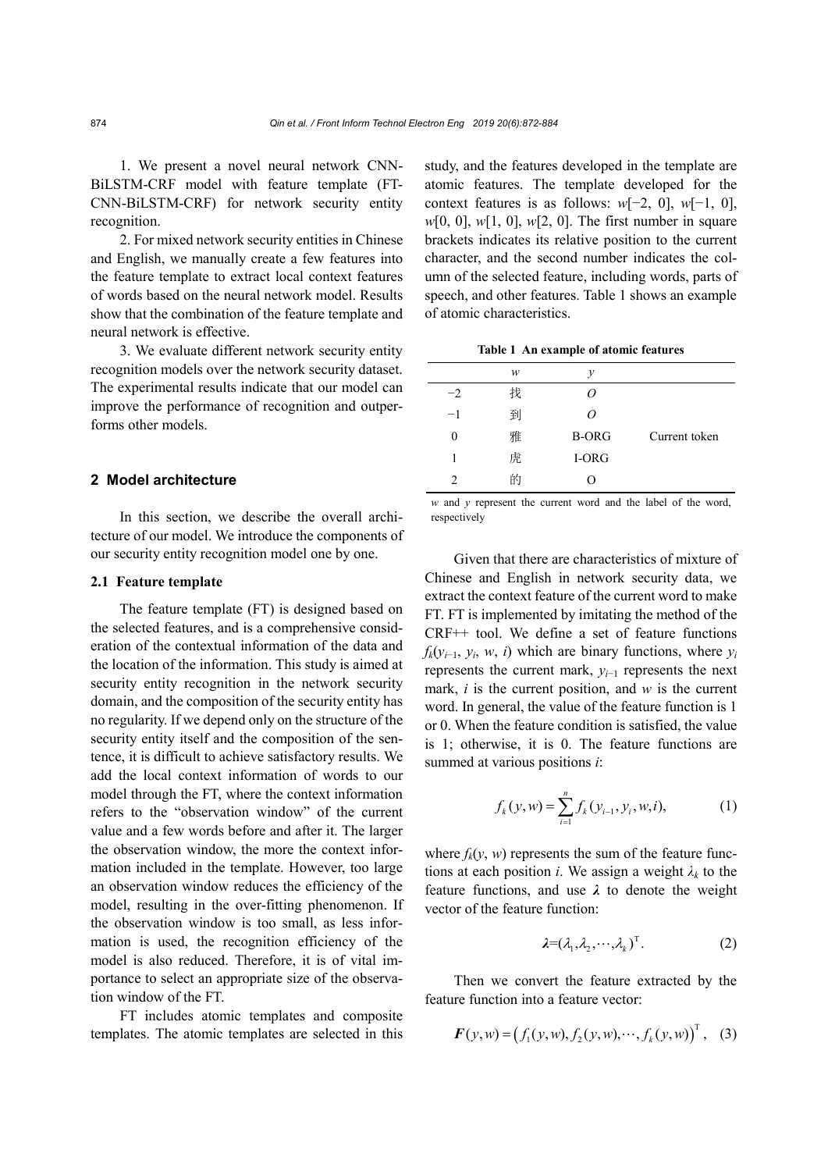1. We present a novel neural network CNN-BiLSTM-CRF model with feature template (FT-CNN-BiLSTM-CRF) for network security entity recognition.

2. For mixed network security entities in Chinese and English, we manually create a few features into the feature template to extract local context features of words based on the neural network model. Results show that the combination of the feature template and neural network is effective.

3. We evaluate different network security entity recognition models over the network security dataset. The experimental results indicate that our model can improve the performance of recognition and outperforms other models.

## **2 Model architecture**

In this section, we describe the overall architecture of our model. We introduce the components of our security entity recognition model one by one.

#### **2.1 Feature template**

The feature template (FT) is designed based on the selected features, and is a comprehensive consideration of the contextual information of the data and the location of the information. This study is aimed at security entity recognition in the network security domain, and the composition of the security entity has no regularity. If we depend only on the structure of the security entity itself and the composition of the sentence, it is difficult to achieve satisfactory results. We add the local context information of words to our model through the FT, where the context information refers to the "observation window" of the current value and a few words before and after it. The larger the observation window, the more the context information included in the template. However, too large an observation window reduces the efficiency of the model, resulting in the over-fitting phenomenon. If the observation window is too small, as less information is used, the recognition efficiency of the model is also reduced. Therefore, it is of vital importance to select an appropriate size of the observation window of the FT.

FT includes atomic templates and composite templates. The atomic templates are selected in this study, and the features developed in the template are atomic features. The template developed for the context features is as follows: *w*[−2, 0], *w*[−1, 0], *w*[0, 0], *w*[1, 0], *w*[2, 0]. The first number in square brackets indicates its relative position to the current character, and the second number indicates the column of the selected feature, including words, parts of speech, and other features. Table 1 shows an example of atomic characteristics.

|      | w | v                                 |               |
|------|---|-----------------------------------|---------------|
| $-2$ | 找 | Ω                                 |               |
| $-1$ | 到 | Ω                                 |               |
| 0    | 雅 | <b>B-ORG</b>                      | Current token |
|      | 虎 | I-ORG                             |               |
| 2.   | 的 | $\scriptstyle\rm\scriptstyle{()}$ |               |

*w* and *y* represent the current word and the label of the word, respectively

Given that there are characteristics of mixture of Chinese and English in network security data, we extract the context feature of the current word to make FT. FT is implemented by imitating the method of the CRF++ tool. We define a set of feature functions  $f_k(y_{i-1}, y_i, w, i)$  which are binary functions, where  $y_i$ represents the current mark, *yi*−<sup>1</sup> represents the next mark, *i* is the current position, and *w* is the current word. In general, the value of the feature function is 1 or 0. When the feature condition is satisfied, the value is 1; otherwise, it is 0. The feature functions are summed at various positions *i*:

$$
f_k(y, w) = \sum_{i=1}^n f_k(y_{i-1}, y_i, w, i),
$$
 (1)

where  $f_k(y, w)$  represents the sum of the feature functions at each position *i*. We assign a weight  $\lambda_k$  to the feature functions, and use *λ* to denote the weight vector of the feature function:

$$
\lambda = (\lambda_1, \lambda_2, \cdots, \lambda_k)^T. \tag{2}
$$

Then we convert the feature extracted by the feature function into a feature vector:

$$
\boldsymbol{F}(y, w) = (f_1(y, w), f_2(y, w), \cdots, f_k(y, w))^T, (3)
$$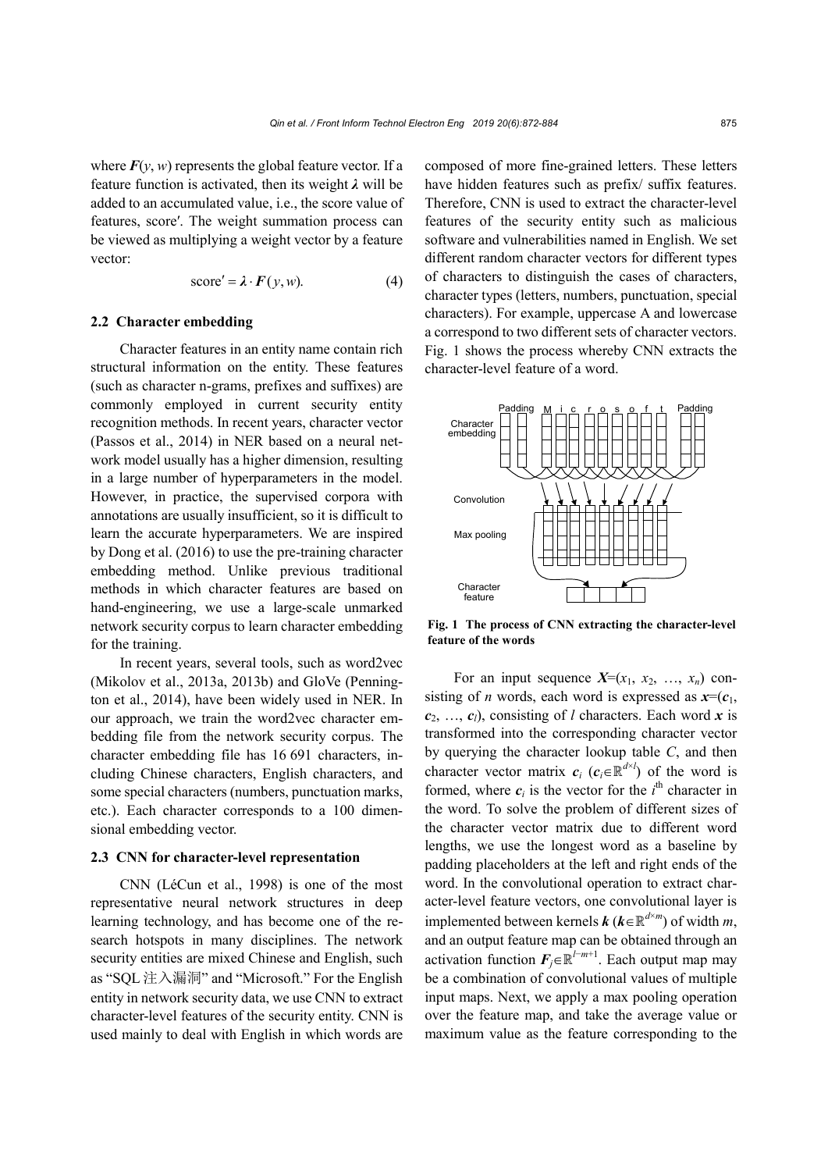where  $F(y, w)$  represents the global feature vector. If a feature function is activated, then its weight *λ* will be added to an accumulated value, i.e., the score value of features, score′. The weight summation process can be viewed as multiplying a weight vector by a feature vector:

$$
score' = \lambda \cdot F(y, w). \tag{4}
$$

## **2.2 Character embedding**

Character features in an entity name contain rich structural information on the entity. These features (such as character n-grams, prefixes and suffixes) are commonly employed in current security entity recognition methods. In recent years, character vector (Passos et al., 2014) in NER based on a neural network model usually has a higher dimension, resulting in a large number of hyperparameters in the model. However, in practice, the supervised corpora with annotations are usually insufficient, so it is difficult to learn the accurate hyperparameters. We are inspired by Dong et al. (2016) to use the pre-training character embedding method. Unlike previous traditional methods in which character features are based on hand-engineering, we use a large-scale unmarked network security corpus to learn character embedding for the training.

In recent years, several tools, such as word2vec (Mikolov et al., 2013a, 2013b) and GloVe (Pennington et al., 2014), have been widely used in NER. In our approach, we train the word2vec character embedding file from the network security corpus. The character embedding file has 16 691 characters, including Chinese characters, English characters, and some special characters (numbers, punctuation marks, etc.). Each character corresponds to a 100 dimensional embedding vector.

# **2.3 CNN for character-level representation**

CNN (LéCun et al., 1998) is one of the most representative neural network structures in deep learning technology, and has become one of the research hotspots in many disciplines. The network security entities are mixed Chinese and English, such as "SQL 注入漏洞" and "Microsoft." For the English entity in network security data, we use CNN to extract character-level features of the security entity. CNN is used mainly to deal with English in which words are

composed of more fine-grained letters. These letters have hidden features such as prefix/ suffix features. Therefore, CNN is used to extract the character-level features of the security entity such as malicious software and vulnerabilities named in English. We set different random character vectors for different types of characters to distinguish the cases of characters, character types (letters, numbers, punctuation, special characters). For example, uppercase A and lowercase a correspond to two different sets of character vectors. Fig. 1 shows the process whereby CNN extracts the character-level feature of a word.



**Fig. 1 The process of CNN extracting the character-level feature of the words**

For an input sequence  $X=(x_1, x_2, \ldots, x_n)$  consisting of *n* words, each word is expressed as  $x=(c_1, c_2)$  $c_2, \ldots, c_l$ , consisting of *l* characters. Each word *x* is transformed into the corresponding character vector by querying the character lookup table *C*, and then character vector matrix  $c_i$  ( $c_i \in \mathbb{R}^{d \times l}$ ) of the word is formed, where  $c_i$  is the vector for the  $i^{\text{th}}$  character in the word. To solve the problem of different sizes of the character vector matrix due to different word lengths, we use the longest word as a baseline by padding placeholders at the left and right ends of the word. In the convolutional operation to extract character-level feature vectors, one convolutional layer is implemented between kernels  $\mathbf{k}$  ( $\mathbf{k} \in \mathbb{R}^{d \times m}$ ) of width *m*, and an output feature map can be obtained through an activation function  $\mathbf{F}_j \in \mathbb{R}^{l-m+1}$ . Each output map may be a combination of convolutional values of multiple input maps. Next, we apply a max pooling operation over the feature map, and take the average value or maximum value as the feature corresponding to the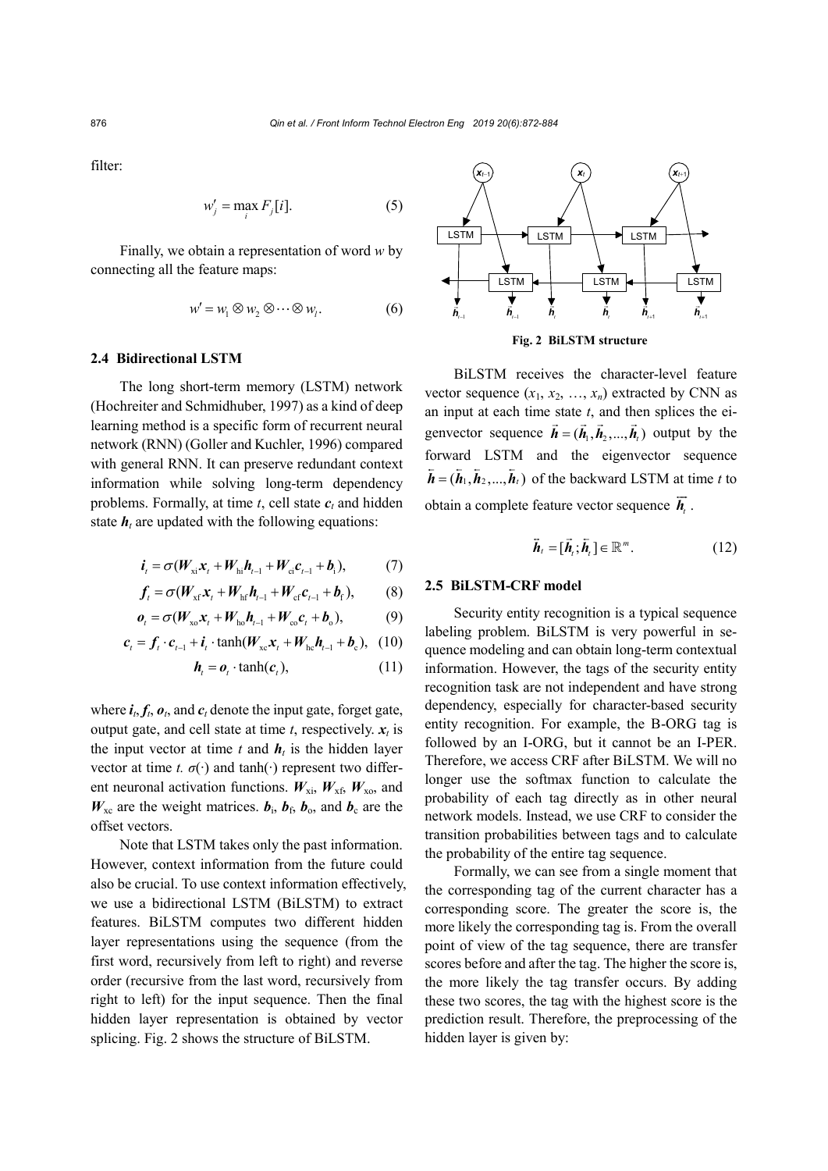filter:

$$
w'_{j} = \max_{i} F_{j}[i].
$$
 (5)

Finally, we obtain a representation of word *w* by connecting all the feature maps:

$$
w' = w_1 \otimes w_2 \otimes \cdots \otimes w_l. \tag{6}
$$

## **2.4 Bidirectional LSTM**

The long short-term memory (LSTM) network (Hochreiter and Schmidhuber, 1997) as a kind of deep learning method is a specific form of recurrent neural network (RNN) (Goller and Kuchler, 1996) compared with general RNN. It can preserve redundant context information while solving long-term dependency problems. Formally, at time  $t$ , cell state  $c_t$  and hidden state  $h_t$  are updated with the following equations:

$$
\boldsymbol{i}_{t} = \sigma(\boldsymbol{W}_{\mathrm{x}i}\boldsymbol{x}_{t} + \boldsymbol{W}_{\mathrm{hi}}\boldsymbol{h}_{t-1} + \boldsymbol{W}_{\mathrm{ci}}\boldsymbol{c}_{t-1} + \boldsymbol{b}_{\mathrm{i}}), \tag{7}
$$

$$
\boldsymbol{f}_{t} = \sigma(\boldsymbol{W}_{\mathrm{xf}} \boldsymbol{x}_{t} + \boldsymbol{W}_{\mathrm{hf}} \boldsymbol{h}_{t-1} + \boldsymbol{W}_{\mathrm{cf}} \boldsymbol{c}_{t-1} + \boldsymbol{b}_{\mathrm{f}}),
$$
(8)

$$
\boldsymbol{o}_{t} = \sigma(\boldsymbol{W}_{\text{xo}}\boldsymbol{x}_{t} + \boldsymbol{W}_{\text{ho}}\boldsymbol{h}_{t-1} + \boldsymbol{W}_{\text{co}}\boldsymbol{c}_{t} + \boldsymbol{b}_{\text{o}}),
$$
(9)

$$
\boldsymbol{c}_{t} = \boldsymbol{f}_{t} \cdot \boldsymbol{c}_{t-1} + \boldsymbol{i}_{t} \cdot \tanh(\boldsymbol{W}_{\mathrm{xc}} \boldsymbol{x}_{t} + \boldsymbol{W}_{\mathrm{hc}} \boldsymbol{h}_{t-1} + \boldsymbol{b}_{\mathrm{c}}), \quad (10)
$$

$$
\boldsymbol{h}_t = \boldsymbol{o}_t \cdot \tanh(\boldsymbol{c}_t),\tag{11}
$$

where  $\mathbf{i}_t$ ,  $\mathbf{f}_t$ ,  $\mathbf{o}_t$ , and  $\mathbf{c}_t$  denote the input gate, forget gate, output gate, and cell state at time  $t$ , respectively.  $x_t$  is the input vector at time  $t$  and  $h_t$  is the hidden layer vector at time *t.*  $\sigma$ (⋅) and tanh(⋅) represent two different neuronal activation functions.  $W_{\rm xi}$ ,  $W_{\rm xfs}$ ,  $W_{\rm xo}$ , and  $W_{\text{xc}}$  are the weight matrices.  $b_i$ ,  $b_f$ ,  $b_o$ , and  $b_c$  are the offset vectors.

Note that LSTM takes only the past information. However, context information from the future could also be crucial. To use context information effectively, we use a bidirectional LSTM (BiLSTM) to extract features. BiLSTM computes two different hidden layer representations using the sequence (from the first word, recursively from left to right) and reverse order (recursive from the last word, recursively from right to left) for the input sequence. Then the final hidden layer representation is obtained by vector splicing. Fig. 2 shows the structure of BiLSTM.



**Fig. 2 BiLSTM structure**

BiLSTM receives the character-level feature vector sequence  $(x_1, x_2, ..., x_n)$  extracted by CNN as an input at each time state *t*, and then splices the eigenvector sequence  $\vec{h} = (\vec{h}_1, \vec{h}_2, ..., \vec{h}_t)$  $h = (h_1, h_2, ..., h_t)$  output by the forward LSTM and the eigenvector sequence  $\vec{h} = (\vec{h}_1, \vec{h}_2, ..., \vec{h}_t)$  of the backward LSTM at time *t* to obtain a complete feature vector sequence *<sup>t</sup>*  $\overline{a}$  $h_{\scriptscriptstyle t}$ .

$$
\ddot{\boldsymbol{h}}_t = [\vec{\boldsymbol{h}}_t; \dot{\overline{\boldsymbol{h}}}_t] \in \mathbb{R}^m.
$$
 (12)

## **2.5 BiLSTM-CRF model**

Security entity recognition is a typical sequence labeling problem. BiLSTM is very powerful in sequence modeling and can obtain long-term contextual information. However, the tags of the security entity recognition task are not independent and have strong dependency, especially for character-based security entity recognition. For example, the B-ORG tag is followed by an I-ORG, but it cannot be an I-PER. Therefore, we access CRF after BiLSTM. We will no longer use the softmax function to calculate the probability of each tag directly as in other neural network models. Instead, we use CRF to consider the transition probabilities between tags and to calculate the probability of the entire tag sequence.

Formally, we can see from a single moment that the corresponding tag of the current character has a corresponding score. The greater the score is, the more likely the corresponding tag is. From the overall point of view of the tag sequence, there are transfer scores before and after the tag. The higher the score is, the more likely the tag transfer occurs. By adding these two scores, the tag with the highest score is the prediction result. Therefore, the preprocessing of the hidden layer is given by: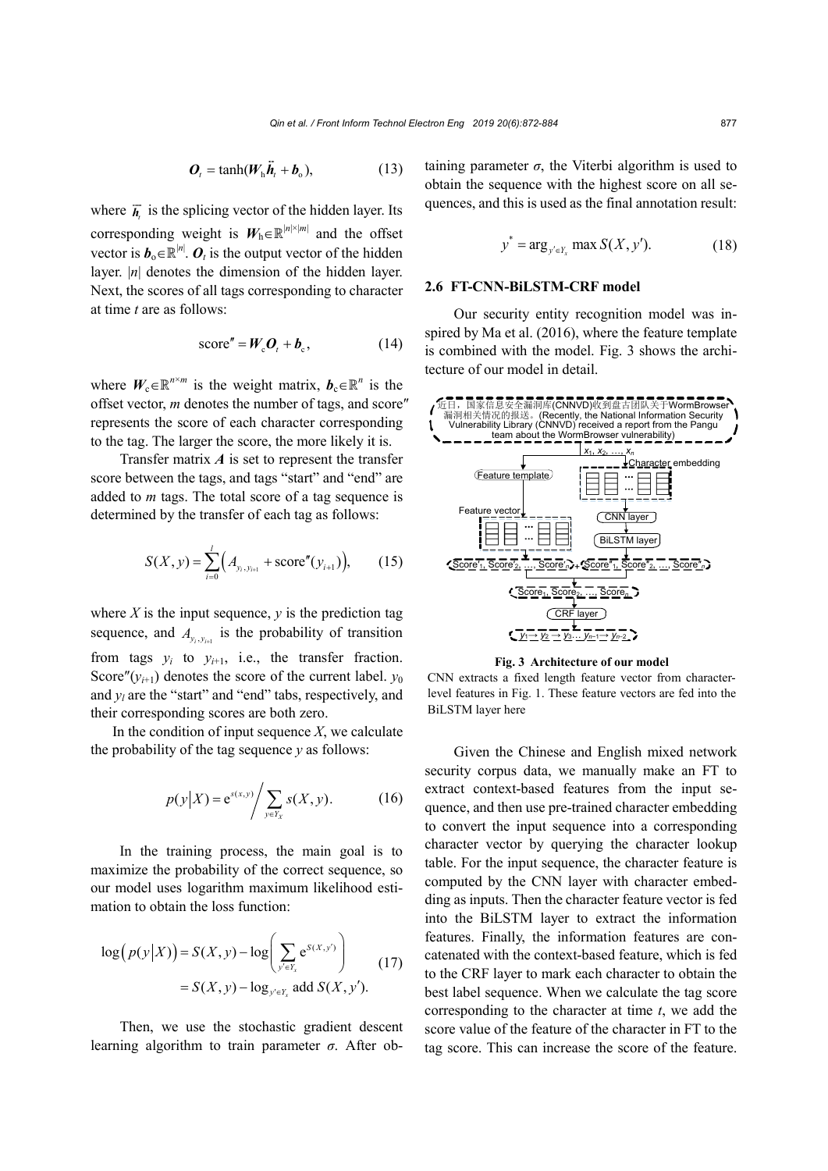$$
\boldsymbol{O}_{t} = \tanh(\boldsymbol{W}_{h}\boldsymbol{\ddot{h}}_{t} + \boldsymbol{b}_{o}), \qquad (13)
$$

where  $\vec{h}$  is the splicing vector of the hidden layer. Its corresponding weight is  $W_h \in \mathbb{R}^{|n| \times |m|}$  and the offset vector is  $b_0 \in \mathbb{R}^{|n|}$ .  $\boldsymbol{O}_t$  is the output vector of the hidden layer. |*n*| denotes the dimension of the hidden layer. Next, the scores of all tags corresponding to character at time *t* are as follows:

$$
score'' = W_c O_t + b_c, \qquad (14)
$$

where  $W_c \in \mathbb{R}^{n \times m}$  is the weight matrix,  $b_c \in \mathbb{R}^n$  is the offset vector, *m* denotes the number of tags, and score″ represents the score of each character corresponding to the tag. The larger the score, the more likely it is.

Transfer matrix *A* is set to represent the transfer score between the tags, and tags "start" and "end" are added to *m* tags. The total score of a tag sequence is determined by the transfer of each tag as follows:

$$
S(X, y) = \sum_{i=0}^{l} (A_{y_i, y_{i+1}} + \text{score}''(y_{i+1})), \quad (15)
$$

where  $X$  is the input sequence,  $y$  is the prediction tag sequence, and  $A_{y_1, y_2}$  is the probability of transition from tags  $y_i$  to  $y_{i+1}$ , i.e., the transfer fraction. Score" $(y_{i+1})$  denotes the score of the current label.  $y_0$ and  $y_l$  are the "start" and "end" tabs, respectively, and their corresponding scores are both zero.

In the condition of input sequence  $X$ , we calculate the probability of the tag sequence *y* as follows:

$$
p(y|X) = e^{s(x,y)} / \sum_{y \in Y_X} s(X, y).
$$
 (16)

In the training process, the main goal is to maximize the probability of the correct sequence, so our model uses logarithm maximum likelihood estimation to obtain the loss function:

$$
\log(p(y|X)) = S(X, y) - \log\left(\sum_{y' \in Y_x} e^{S(X, y')}\right)
$$
  
= S(X, y) - \log\_{y' \in Y\_x} add S(X, y'). (17)

Then, we use the stochastic gradient descent learning algorithm to train parameter *σ*. After obtaining parameter  $\sigma$ , the Viterbi algorithm is used to obtain the sequence with the highest score on all sequences, and this is used as the final annotation result:

$$
y^* = \arg_{y' \in Y_x} \max S(X, y'). \tag{18}
$$

# **2.6 FT-CNN-BiLSTM-CRF model**

Our security entity recognition model was inspired by Ma et al. (2016), where the feature template is combined with the model. Fig. 3 shows the architecture of our model in detail.



#### **Fig. 3 Architecture of our model**

CNN extracts a fixed length feature vector from characterlevel features in Fig. 1. These feature vectors are fed into the BiLSTM layer here

Given the Chinese and English mixed network security corpus data, we manually make an FT to extract context-based features from the input sequence, and then use pre-trained character embedding to convert the input sequence into a corresponding character vector by querying the character lookup table. For the input sequence, the character feature is computed by the CNN layer with character embedding as inputs. Then the character feature vector is fed into the BiLSTM layer to extract the information features. Finally, the information features are concatenated with the context-based feature, which is fed to the CRF layer to mark each character to obtain the best label sequence. When we calculate the tag score corresponding to the character at time *t*, we add the score value of the feature of the character in FT to the tag score. This can increase the score of the feature.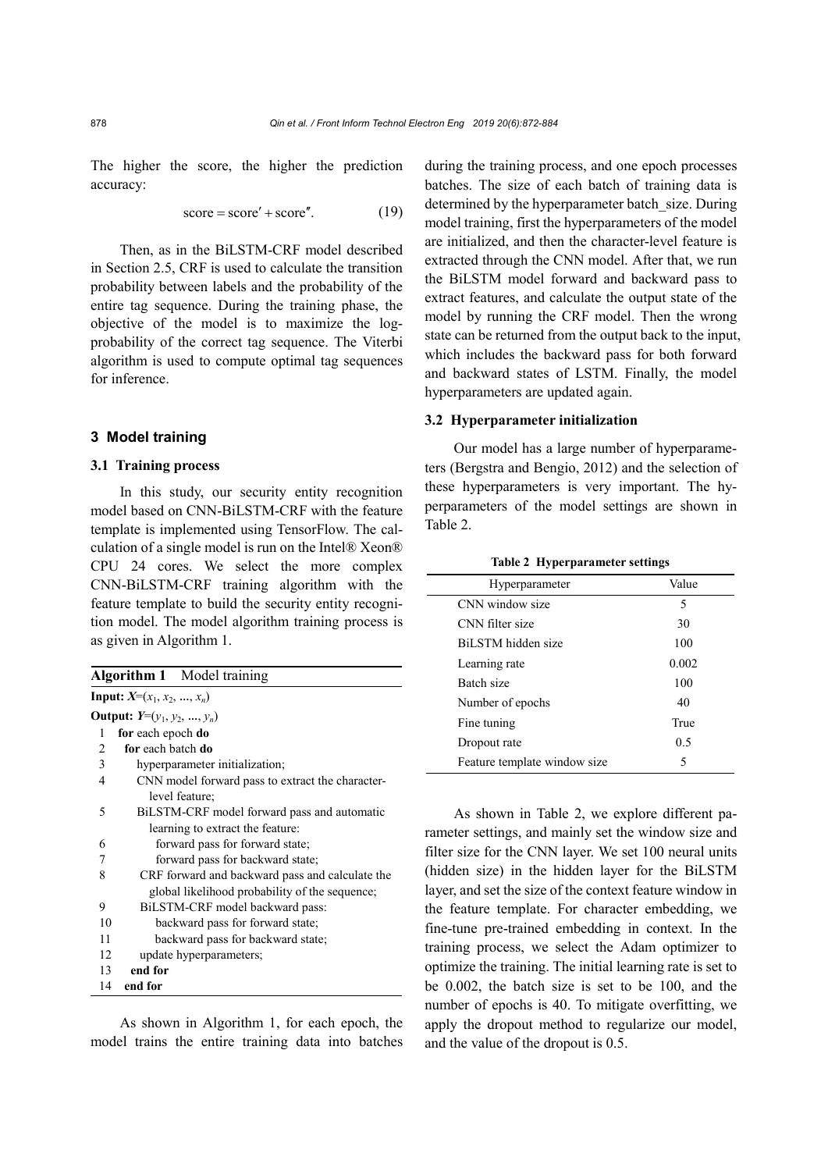The higher the score, the higher the prediction accuracy:

$$
score = score' + score''. \tag{19}
$$

Then, as in the BiLSTM-CRF model described in Section 2.5, CRF is used to calculate the transition probability between labels and the probability of the entire tag sequence. During the training phase, the objective of the model is to maximize the logprobability of the correct tag sequence. The Viterbi algorithm is used to compute optimal tag sequences for inference.

## **3 Model training**

## **3.1 Training process**

In this study, our security entity recognition model based on CNN-BiLSTM-CRF with the feature template is implemented using TensorFlow. The calculation of a single model is run on the Intel® Xeon® CPU 24 cores. We select the more complex CNN-BiLSTM-CRF training algorithm with the feature template to build the security entity recognition model. The model algorithm training process is as given in Algorithm 1.

|    | <b>Algorithm 1</b> Model training                |  |  |  |  |  |
|----|--------------------------------------------------|--|--|--|--|--|
|    | <b>Input:</b> $X=(x_1, x_2, , x_n)$              |  |  |  |  |  |
|    | <b>Output:</b> $Y=(y_1, y_2, , y_n)$             |  |  |  |  |  |
| 1  | for each epoch do                                |  |  |  |  |  |
| 2  | for each batch do                                |  |  |  |  |  |
| 3  | hyperparameter initialization;                   |  |  |  |  |  |
| 4  | CNN model forward pass to extract the character- |  |  |  |  |  |
|    | level feature:                                   |  |  |  |  |  |
| 5  | BILSTM-CRF model forward pass and automatic      |  |  |  |  |  |
|    | learning to extract the feature:                 |  |  |  |  |  |
| 6  | forward pass for forward state;                  |  |  |  |  |  |
| 7  | forward pass for backward state;                 |  |  |  |  |  |
| 8  | CRF forward and backward pass and calculate the  |  |  |  |  |  |
|    | global likelihood probability of the sequence;   |  |  |  |  |  |
| 9  | BILSTM-CRF model backward pass:                  |  |  |  |  |  |
| 10 | backward pass for forward state;                 |  |  |  |  |  |
| 11 | backward pass for backward state;                |  |  |  |  |  |
| 12 | update hyperparameters;                          |  |  |  |  |  |
| 13 | end for                                          |  |  |  |  |  |
| 14 | end for                                          |  |  |  |  |  |

As shown in Algorithm 1, for each epoch, the model trains the entire training data into batches during the training process, and one epoch processes batches. The size of each batch of training data is determined by the hyperparameter batch size. During model training, first the hyperparameters of the model are initialized, and then the character-level feature is extracted through the CNN model. After that, we run the BiLSTM model forward and backward pass to extract features, and calculate the output state of the model by running the CRF model. Then the wrong state can be returned from the output back to the input, which includes the backward pass for both forward and backward states of LSTM. Finally, the model hyperparameters are updated again.

#### **3.2 Hyperparameter initialization**

Our model has a large number of hyperparameters (Bergstra and Bengio, 2012) and the selection of these hyperparameters is very important. The hyperparameters of the model settings are shown in Table 2.

| Hyperparameter               | Value |
|------------------------------|-------|
| CNN window size              | 5     |
| CNN filter size              | 30    |
| BiLSTM hidden size           | 100   |
| Learning rate                | 0.002 |
| Batch size                   | 100   |
| Number of epochs             | 40    |
| Fine tuning                  | True  |
| Dropout rate                 | 0.5   |
| Feature template window size | 5     |

**Table 2 Hyperparameter settings**

As shown in Table 2, we explore different parameter settings, and mainly set the window size and filter size for the CNN layer. We set 100 neural units (hidden size) in the hidden layer for the BiLSTM layer, and set the size of the context feature window in the feature template. For character embedding, we fine-tune pre-trained embedding in context. In the training process, we select the Adam optimizer to optimize the training. The initial learning rate is set to be 0.002, the batch size is set to be 100, and the number of epochs is 40. To mitigate overfitting, we apply the dropout method to regularize our model, and the value of the dropout is 0.5.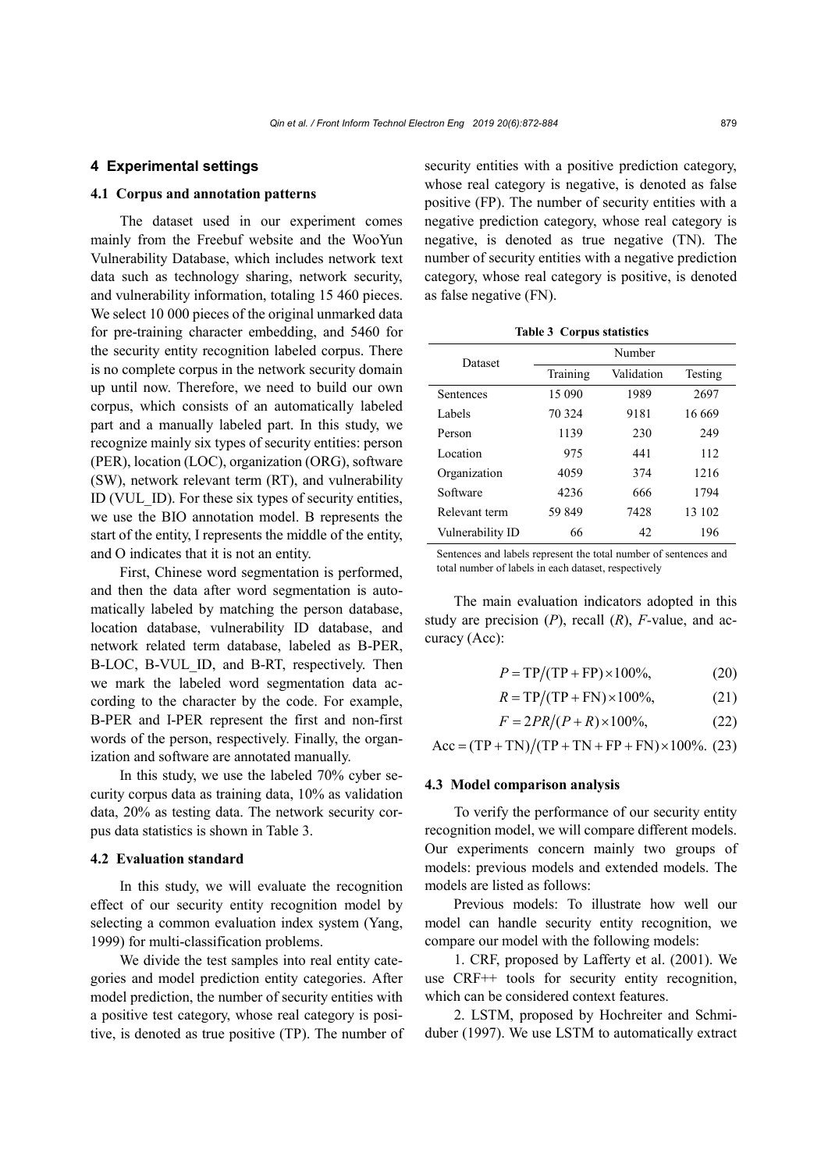## **4 Experimental settings**

## **4.1 Corpus and annotation patterns**

The dataset used in our experiment comes mainly from the Freebuf website and the WooYun Vulnerability Database, which includes network text data such as technology sharing, network security, and vulnerability information, totaling 15 460 pieces. We select 10 000 pieces of the original unmarked data for pre-training character embedding, and 5460 for the security entity recognition labeled corpus. There is no complete corpus in the network security domain up until now. Therefore, we need to build our own corpus, which consists of an automatically labeled part and a manually labeled part. In this study, we recognize mainly six types of security entities: person (PER), location (LOC), organization (ORG), software (SW), network relevant term (RT), and vulnerability ID (VUL\_ID). For these six types of security entities, we use the BIO annotation model. B represents the start of the entity, I represents the middle of the entity, and O indicates that it is not an entity.

First, Chinese word segmentation is performed, and then the data after word segmentation is automatically labeled by matching the person database, location database, vulnerability ID database, and network related term database, labeled as B-PER, B-LOC, B-VUL\_ID, and B-RT, respectively. Then we mark the labeled word segmentation data according to the character by the code. For example, B-PER and I-PER represent the first and non-first words of the person, respectively. Finally, the organization and software are annotated manually.

In this study, we use the labeled 70% cyber security corpus data as training data, 10% as validation data, 20% as testing data. The network security corpus data statistics is shown in Table 3.

## **4.2 Evaluation standard**

In this study, we will evaluate the recognition effect of our security entity recognition model by selecting a common evaluation index system (Yang, 1999) for multi-classification problems.

We divide the test samples into real entity categories and model prediction entity categories. After model prediction, the number of security entities with a positive test category, whose real category is positive, is denoted as true positive (TP). The number of security entities with a positive prediction category, whose real category is negative, is denoted as false positive (FP). The number of security entities with a negative prediction category, whose real category is negative, is denoted as true negative (TN). The number of security entities with a negative prediction category, whose real category is positive, is denoted as false negative (FN).

**Table 3 Corpus statistics**

| Dataset          | Number   |            |         |  |  |  |
|------------------|----------|------------|---------|--|--|--|
|                  | Training | Validation | Testing |  |  |  |
| Sentences        | 15 090   | 1989       | 2697    |  |  |  |
| Labels           | 70 324   | 9181       | 16 669  |  |  |  |
| Person           | 1139     | 230        | 249     |  |  |  |
| Location         | 975      | 441        | 112     |  |  |  |
| Organization     | 4059     | 374        | 1216    |  |  |  |
| Software         | 4236     | 666        | 1794    |  |  |  |
| Relevant term    | 59 849   | 7428       | 13 102  |  |  |  |
| Vulnerability ID | 66       | 42         | 196     |  |  |  |

Sentences and labels represent the total number of sentences and total number of labels in each dataset, respectively

The main evaluation indicators adopted in this study are precision (*P*), recall (*R*), *F-*value, and accuracy (Acc):

$$
P = \text{TP}/(\text{TP} + \text{FP}) \times 100\%,\tag{20}
$$

$$
R = \text{TP}/(\text{TP} + \text{FN}) \times 100\%,\tag{21}
$$

$$
F = 2PR/(P + R) \times 100\%,
$$
 (22)

 $Acc = (TP + TN)/(TP + TN + FP + FN) \times 100\%$ . (23)

## **4.3 Model comparison analysis**

To verify the performance of our security entity recognition model, we will compare different models. Our experiments concern mainly two groups of models: previous models and extended models. The models are listed as follows:

Previous models: To illustrate how well our model can handle security entity recognition, we compare our model with the following models:

1. CRF, proposed by Lafferty et al. (2001). We use CRF++ tools for security entity recognition, which can be considered context features.

2. LSTM, proposed by Hochreiter and Schmiduber (1997). We use LSTM to automatically extract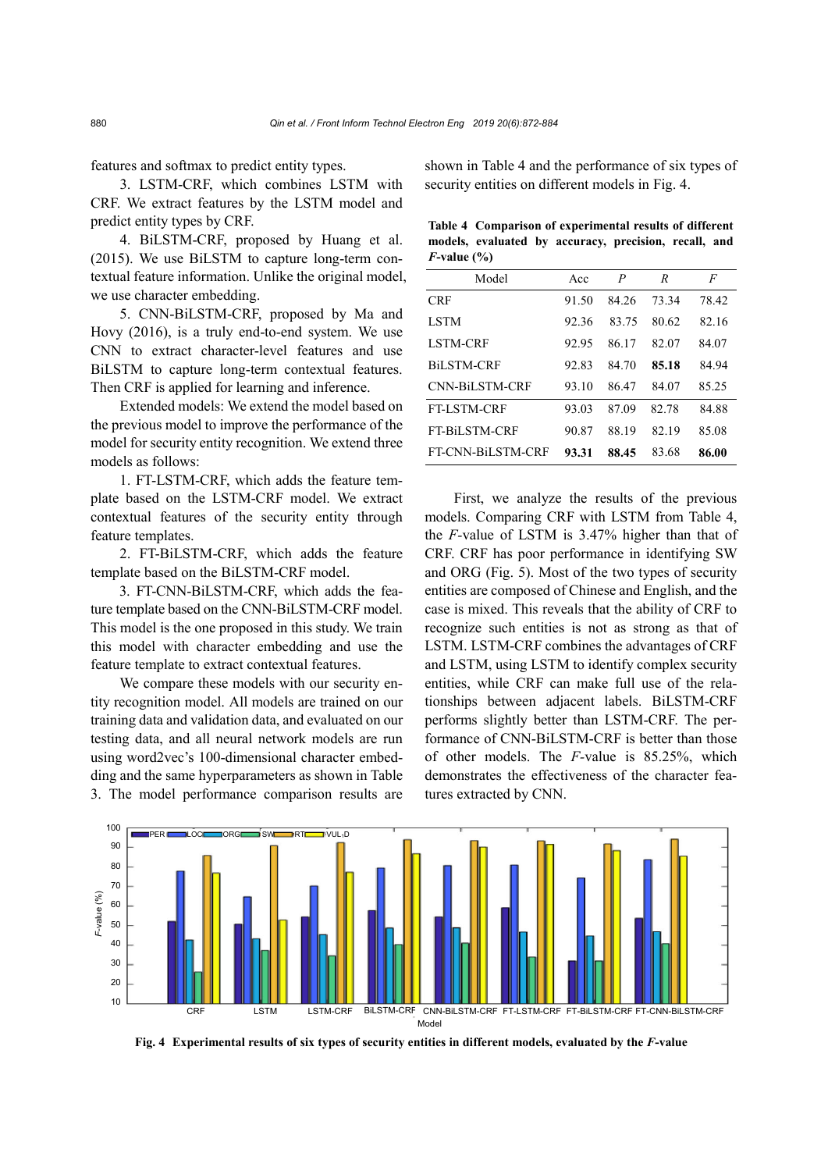features and softmax to predict entity types.

3. LSTM-CRF, which combines LSTM with CRF. We extract features by the LSTM model and predict entity types by CRF.

4. BiLSTM-CRF, proposed by Huang et al. (2015). We use BiLSTM to capture long-term contextual feature information. Unlike the original model, we use character embedding.

5. CNN-BiLSTM-CRF, proposed by Ma and Hovy (2016), is a truly end-to-end system. We use CNN to extract character-level features and use BiLSTM to capture long-term contextual features. Then CRF is applied for learning and inference.

Extended models: We extend the model based on the previous model to improve the performance of the model for security entity recognition. We extend three models as follows:

1. FT-LSTM-CRF, which adds the feature template based on the LSTM-CRF model. We extract contextual features of the security entity through feature templates.

2. FT-BiLSTM-CRF, which adds the feature template based on the BiLSTM-CRF model.

3. FT-CNN-BiLSTM-CRF, which adds the feature template based on the CNN-BiLSTM-CRF model. This model is the one proposed in this study. We train this model with character embedding and use the feature template to extract contextual features.

We compare these models with our security entity recognition model. All models are trained on our training data and validation data, and evaluated on our testing data, and all neural network models are run using word2vec's 100-dimensional character embedding and the same hyperparameters as shown in Table 3. The model performance comparison results are

shown in Table 4 and the performance of six types of security entities on different models in Fig. 4.

|                    | Table 4 Comparison of experimental results of different |  |  |  |
|--------------------|---------------------------------------------------------|--|--|--|
|                    | models, evaluated by accuracy, precision, recall, and   |  |  |  |
| $F$ -value $(\% )$ |                                                         |  |  |  |

| Model                    | Acc   | $\boldsymbol{P}$ | R     | F     |
|--------------------------|-------|------------------|-------|-------|
| <b>CRF</b>               | 91.50 | 84 26            | 73.34 | 78.42 |
| <b>LSTM</b>              | 92.36 | 83 75            | 80.62 | 82.16 |
| <b>LSTM-CRF</b>          | 92.95 | 86 17            | 82.07 | 84.07 |
| <b>BiLSTM-CRF</b>        | 92.83 | 84 70            | 85.18 | 84.94 |
| CNN-BILSTM-CRF           | 93.10 | 86.47            | 84.07 | 85.25 |
| <b>FT-LSTM-CRF</b>       | 93.03 | 87.09            | 82.78 | 84.88 |
| <b>FT-BILSTM-CRF</b>     | 90.87 | 88 19            | 82.19 | 85.08 |
| <b>FT-CNN-BiLSTM-CRF</b> | 93.31 | 88.45            | 83.68 | 86.00 |
|                          |       |                  |       |       |

First, we analyze the results of the previous models. Comparing CRF with LSTM from Table 4, the *F-*value of LSTM is 3.47% higher than that of CRF. CRF has poor performance in identifying SW and ORG (Fig. 5). Most of the two types of security entities are composed of Chinese and English, and the case is mixed. This reveals that the ability of CRF to recognize such entities is not as strong as that of LSTM. LSTM-CRF combines the advantages of CRF and LSTM, using LSTM to identify complex security entities, while CRF can make full use of the relationships between adjacent labels. BiLSTM-CRF performs slightly better than LSTM-CRF. The performance of CNN-BiLSTM-CRF is better than those of other models. The *F-*value is 85.25%, which demonstrates the effectiveness of the character features extracted by CNN.



**Fig. 4 Experimental results of six types of security entities in different models, evaluated by the** *F***-value**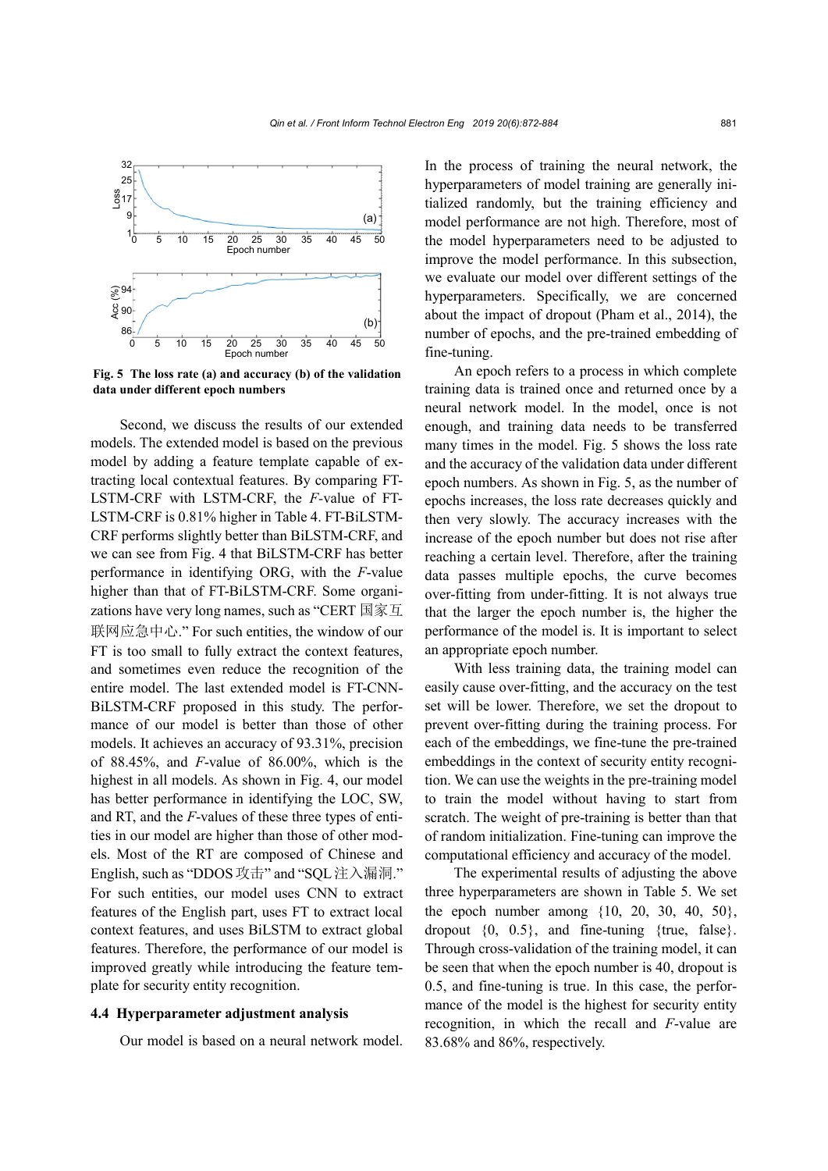

**Fig. 5 The loss rate (a) and accuracy (b) of the validation data under different epoch numbers**

Second, we discuss the results of our extended models. The extended model is based on the previous model by adding a feature template capable of extracting local contextual features. By comparing FT-LSTM-CRF with LSTM-CRF, the *F-*value of FT-LSTM-CRF is 0.81% higher in Table 4. FT-BiLSTM-CRF performs slightly better than BiLSTM-CRF, and we can see from Fig. 4 that BiLSTM-CRF has better performance in identifying ORG, with the *F*-value higher than that of FT-BiLSTM-CRF. Some organizations have very long names, such as "CERT 国家互 联网应急中心." For such entities, the window of our FT is too small to fully extract the context features, and sometimes even reduce the recognition of the entire model. The last extended model is FT-CNN-BiLSTM-CRF proposed in this study. The performance of our model is better than those of other models. It achieves an accuracy of 93.31%, precision of 88.45%, and *F*-value of 86.00%, which is the highest in all models. As shown in Fig. 4, our model has better performance in identifying the LOC, SW, and RT, and the *F*-values of these three types of entities in our model are higher than those of other models. Most of the RT are composed of Chinese and English, such as "DDOS攻击" and "SQL注入漏洞." For such entities, our model uses CNN to extract features of the English part, uses FT to extract local context features, and uses BiLSTM to extract global features. Therefore, the performance of our model is improved greatly while introducing the feature template for security entity recognition.

#### **4.4 Hyperparameter adjustment analysis**

Our model is based on a neural network model.

In the process of training the neural network, the hyperparameters of model training are generally initialized randomly, but the training efficiency and model performance are not high. Therefore, most of the model hyperparameters need to be adjusted to improve the model performance. In this subsection, we evaluate our model over different settings of the hyperparameters. Specifically, we are concerned about the impact of dropout (Pham et al., 2014), the number of epochs, and the pre-trained embedding of fine-tuning.

An epoch refers to a process in which complete training data is trained once and returned once by a neural network model. In the model, once is not enough, and training data needs to be transferred many times in the model. Fig. 5 shows the loss rate and the accuracy of the validation data under different epoch numbers. As shown in Fig. 5, as the number of epochs increases, the loss rate decreases quickly and then very slowly. The accuracy increases with the increase of the epoch number but does not rise after reaching a certain level. Therefore, after the training data passes multiple epochs, the curve becomes over-fitting from under-fitting. It is not always true that the larger the epoch number is, the higher the performance of the model is. It is important to select an appropriate epoch number.

With less training data, the training model can easily cause over-fitting, and the accuracy on the test set will be lower. Therefore, we set the dropout to prevent over-fitting during the training process. For each of the embeddings, we fine-tune the pre-trained embeddings in the context of security entity recognition. We can use the weights in the pre-training model to train the model without having to start from scratch. The weight of pre-training is better than that of random initialization. Fine-tuning can improve the computational efficiency and accuracy of the model.

The experimental results of adjusting the above three hyperparameters are shown in Table 5. We set the epoch number among  $\{10, 20, 30, 40, 50\}$ , dropout  $\{0, 0.5\}$ , and fine-tuning  $\{true, false\}$ . Through cross-validation of the training model, it can be seen that when the epoch number is 40, dropout is 0.5, and fine-tuning is true. In this case, the performance of the model is the highest for security entity recognition, in which the recall and *F*-value are 83.68% and 86%, respectively.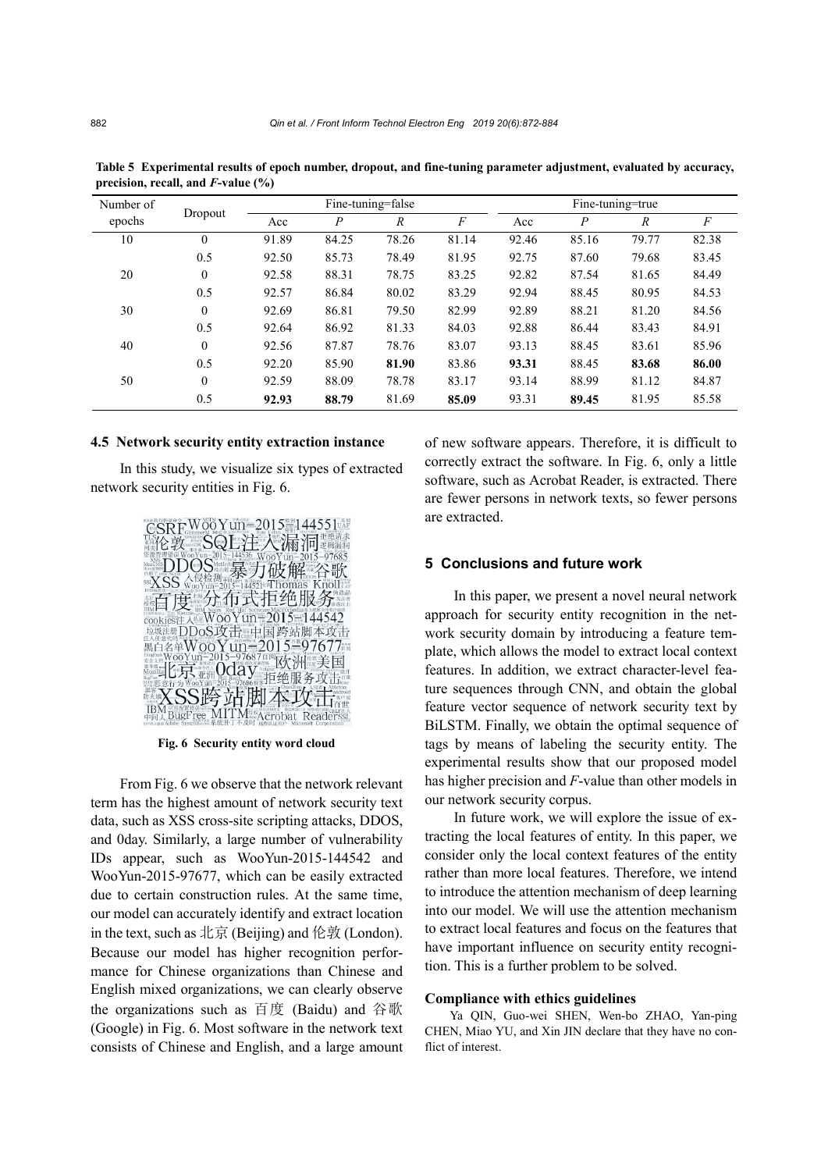| Number of | Dropout          |       | Fine-tuning=false |                  |       | Fine-tuning=true |                |                  |                |
|-----------|------------------|-------|-------------------|------------------|-------|------------------|----------------|------------------|----------------|
| epochs    |                  | Acc   | P                 | $\boldsymbol{R}$ | F     | Acc              | $\overline{P}$ | $\boldsymbol{R}$ | $\overline{F}$ |
| 10        | $\mathbf{0}$     | 91.89 | 84.25             | 78.26            | 81.14 | 92.46            | 85.16          | 79.77            | 82.38          |
|           | 0.5              | 92.50 | 85.73             | 78.49            | 81.95 | 92.75            | 87.60          | 79.68            | 83.45          |
| 20        | $\boldsymbol{0}$ | 92.58 | 88.31             | 78.75            | 83.25 | 92.82            | 87.54          | 81.65            | 84.49          |
|           | 0.5              | 92.57 | 86.84             | 80.02            | 83.29 | 92.94            | 88.45          | 80.95            | 84.53          |
| 30        | $\Omega$         | 92.69 | 86.81             | 79.50            | 82.99 | 92.89            | 88.21          | 81.20            | 84.56          |
|           | 0.5              | 92.64 | 86.92             | 81.33            | 84.03 | 92.88            | 86.44          | 83.43            | 84.91          |
| 40        | $\boldsymbol{0}$ | 92.56 | 87.87             | 78.76            | 83.07 | 93.13            | 88.45          | 83.61            | 85.96          |
|           | 0.5              | 92.20 | 85.90             | 81.90            | 83.86 | 93.31            | 88.45          | 83.68            | 86.00          |
| 50        | $\boldsymbol{0}$ | 92.59 | 88.09             | 78.78            | 83.17 | 93.14            | 88.99          | 81.12            | 84.87          |
|           | 0.5              | 92.93 | 88.79             | 81.69            | 85.09 | 93.31            | 89.45          | 81.95            | 85.58          |

**Table 5 Experimental results of epoch number, dropout, and fine-tuning parameter adjustment, evaluated by accuracy, precision, recall, and** *F***-value (%)** 

#### **4.5 Network security entity extraction instance**

In this study, we visualize six types of extracted network security entities in Fig. 6.



**Fig. 6 Security entity word cloud**

From Fig. 6 we observe that the network relevant term has the highest amount of network security text data, such as XSS cross-site scripting attacks, DDOS, and 0day. Similarly, a large number of vulnerability IDs appear, such as WooYun-2015-144542 and WooYun-2015-97677, which can be easily extracted due to certain construction rules. At the same time, our model can accurately identify and extract location in the text, such as 北京 (Beijing) and 伦敦 (London). Because our model has higher recognition performance for Chinese organizations than Chinese and English mixed organizations, we can clearly observe the organizations such as 百度 (Baidu) and 谷歌 (Google) in Fig. 6. Most software in the network text consists of Chinese and English, and a large amount

of new software appears. Therefore, it is difficult to correctly extract the software. In Fig. 6, only a little software, such as Acrobat Reader, is extracted. There are fewer persons in network texts, so fewer persons are extracted.

## **5 Conclusions and future work**

In this paper, we present a novel neural network approach for security entity recognition in the network security domain by introducing a feature template, which allows the model to extract local context features. In addition, we extract character-level feature sequences through CNN, and obtain the global feature vector sequence of network security text by BiLSTM. Finally, we obtain the optimal sequence of tags by means of labeling the security entity. The experimental results show that our proposed model has higher precision and *F*-value than other models in our network security corpus.

In future work, we will explore the issue of extracting the local features of entity. In this paper, we consider only the local context features of the entity rather than more local features. Therefore, we intend to introduce the attention mechanism of deep learning into our model. We will use the attention mechanism to extract local features and focus on the features that have important influence on security entity recognition. This is a further problem to be solved.

#### **Compliance with ethics guidelines**

Ya QIN, Guo-wei SHEN, Wen-bo ZHAO, Yan-ping CHEN, Miao YU, and Xin JIN declare that they have no conflict of interest.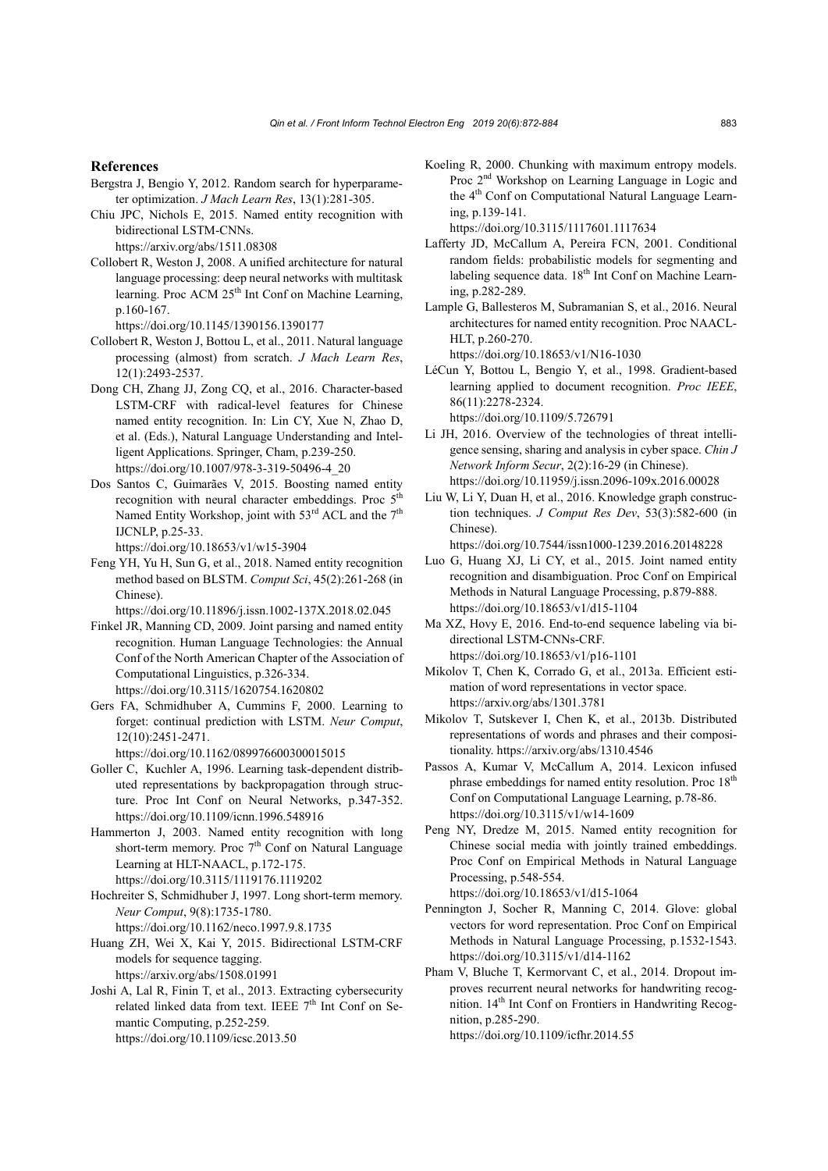**References**

- Bergstra J, Bengio Y, 2012. Random search for hyperparameter optimization. *J Mach Learn Res*, 13(1):281-305.
- Chiu JPC, Nichols E, 2015. Named entity recognition with bidirectional LSTM-CNNs. https://arxiv.org/abs/1511.08308
- Collobert R, Weston J, 2008. A unified architecture for natural language processing: deep neural networks with multitask learning. Proc ACM 25<sup>th</sup> Int Conf on Machine Learning, p.160-167.
	- https://doi.org/10.1145/1390156.1390177
- Collobert R, Weston J, Bottou L, et al., 2011. Natural language processing (almost) from scratch. *J Mach Learn Res*, 12(1):2493-2537.
- Dong CH, Zhang JJ, Zong CQ, et al., 2016. Character-based LSTM-CRF with radical-level features for Chinese named entity recognition. In: Lin CY, Xue N, Zhao D, et al. (Eds.), Natural Language Understanding and Intelligent Applications. Springer, Cham, p.239-250. https://doi.org/10.1007/978-3-319-50496-4\_20
- Dos Santos C, Guimarães V, 2015. Boosting named entity recognition with neural character embeddings. Proc  $5<sup>th</sup>$ Named Entity Workshop, joint with 53<sup>rd</sup> ACL and the 7<sup>th</sup> IJCNLP, p.25-33.

https://doi.org/10.18653/v1/w15-3904

Feng YH, Yu H, Sun G, et al., 2018. Named entity recognition method based on BLSTM. *Comput Sci*, 45(2):261-268 (in Chinese).

https://doi.org/10.11896/j.issn.1002-137X.2018.02.045

- Finkel JR, Manning CD, 2009. Joint parsing and named entity recognition. Human Language Technologies: the Annual Conf of the North American Chapter of the Association of Computational Linguistics, p.326-334. https://doi.org/10.3115/1620754.1620802
- Gers FA, Schmidhuber A, Cummins F, 2000. Learning to forget: continual prediction with LSTM. *Neur Comput*, 12(10):2451-2471.

https://doi.org/10.1162/089976600300015015

- Goller C, Kuchler A, 1996. Learning task-dependent distributed representations by backpropagation through structure. Proc Int Conf on Neural Networks, p.347-352. https://doi.org/10.1109/icnn.1996.548916
- Hammerton J, 2003. Named entity recognition with long short-term memory. Proc  $7<sup>th</sup>$  Conf on Natural Language Learning at HLT-NAACL, p.172-175. https://doi.org/10.3115/1119176.1119202
- Hochreiter S, Schmidhuber J, 1997. Long short-term memory. *Neur Comput*, 9(8):1735-1780. https://doi.org/10.1162/neco.1997.9.8.1735
- Huang ZH, Wei X, Kai Y, 2015. Bidirectional LSTM-CRF models for sequence tagging. https://arxiv.org/abs/1508.01991
- Joshi A, Lal R, Finin T, et al., 2013. Extracting cybersecurity related linked data from text. IEEE 7<sup>th</sup> Int Conf on Semantic Computing, p.252-259. https://doi.org/10.1109/icsc.2013.50

Koeling R, 2000. Chunking with maximum entropy models. Proc 2nd Workshop on Learning Language in Logic and the 4<sup>th</sup> Conf on Computational Natural Language Learning, p.139-141.

https://doi.org/10.3115/1117601.1117634

- Lafferty JD, McCallum A, Pereira FCN, 2001. Conditional random fields: probabilistic models for segmenting and labeling sequence data.  $18^{th}$  Int Conf on Machine Learning, p.282-289.
- Lample G, Ballesteros M, Subramanian S, et al., 2016. Neural architectures for named entity recognition. Proc NAACL-HLT, p.260-270.

https://doi.org/10.18653/v1/N16-1030 LéCun Y, Bottou L, Bengio Y, et al., 1998. Gradient-based

learning applied to document recognition. *Proc IEEE*, 86(11):2278-2324. https://doi.org/10.1109/5.726791

- Li JH, 2016. Overview of the technologies of threat intelligence sensing, sharing and analysis in cyber space. *Chin J Network Inform Secur*, 2(2):16-29 (in Chinese). https://doi.org/10.11959/j.issn.2096-109x.2016.00028
- Liu W, Li Y, Duan H, et al., 2016. Knowledge graph construction techniques. *J Comput Res Dev*, 53(3):582-600 (in Chinese).

https://doi.org/10.7544/issn1000-1239.2016.20148228

- Luo G, Huang XJ, Li CY, et al., 2015. Joint named entity recognition and disambiguation. Proc Conf on Empirical Methods in Natural Language Processing, p.879-888. https://doi.org/10.18653/v1/d15-1104
- Ma XZ, Hovy E, 2016. End-to-end sequence labeling via bidirectional LSTM-CNNs-CRF. https://doi.org/10.18653/v1/p16-1101
- Mikolov T, Chen K, Corrado G, et al., 2013a. Efficient estimation of word representations in vector space. https://arxiv.org/abs/1301.3781
- Mikolov T, Sutskever I, Chen K, et al., 2013b. Distributed representations of words and phrases and their compositionality. https://arxiv.org/abs/1310.4546
- Passos A, Kumar V, McCallum A, 2014. Lexicon infused phrase embeddings for named entity resolution. Proc 18<sup>th</sup> Conf on Computational Language Learning, p.78-86. https://doi.org/10.3115/v1/w14-1609
- Peng NY, Dredze M, 2015. Named entity recognition for Chinese social media with jointly trained embeddings. Proc Conf on Empirical Methods in Natural Language Processing, p.548-554.

https://doi.org/10.18653/v1/d15-1064

- Pennington J, Socher R, Manning C, 2014. Glove: global vectors for word representation. Proc Conf on Empirical Methods in Natural Language Processing, p.1532-1543. https://doi.org/10.3115/v1/d14-1162
- Pham V, Bluche T, Kermorvant C, et al., 2014. Dropout improves recurrent neural networks for handwriting recognition. 14<sup>th</sup> Int Conf on Frontiers in Handwriting Recognition, p.285-290. https://doi.org/10.1109/icfhr.2014.55